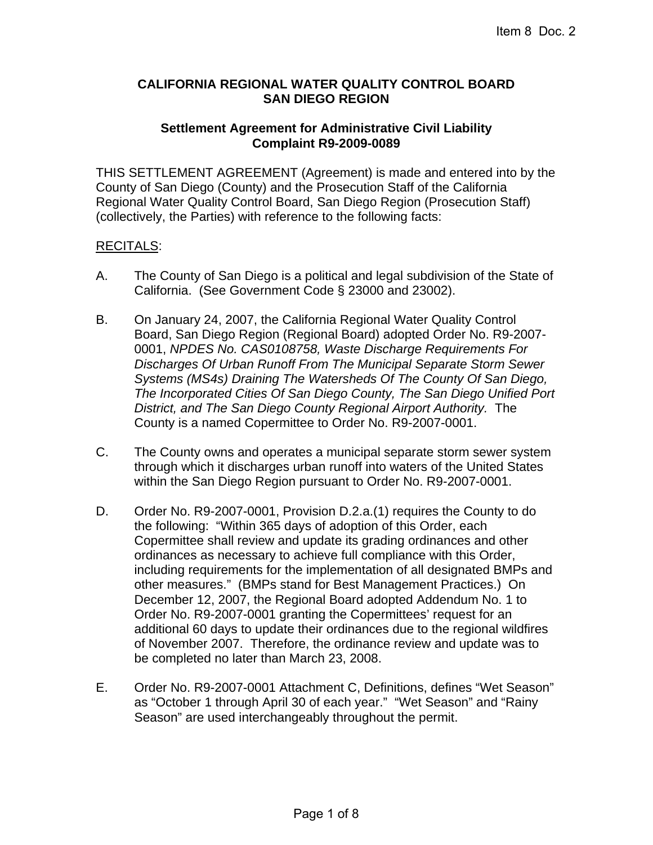## **CALIFORNIA REGIONAL WATER QUALITY CONTROL BOARD SAN DIEGO REGION**

## **Settlement Agreement for Administrative Civil Liability Complaint R9-2009-0089**

THIS SETTLEMENT AGREEMENT (Agreement) is made and entered into by the County of San Diego (County) and the Prosecution Staff of the California Regional Water Quality Control Board, San Diego Region (Prosecution Staff) (collectively, the Parties) with reference to the following facts:

## RECITALS:

- A. The County of San Diego is a political and legal subdivision of the State of California. (See Government Code § 23000 and 23002).
- B. On January 24, 2007, the California Regional Water Quality Control Board, San Diego Region (Regional Board) adopted Order No. R9-2007- 0001, *NPDES No. CAS0108758, Waste Discharge Requirements For Discharges Of Urban Runoff From The Municipal Separate Storm Sewer Systems (MS4s) Draining The Watersheds Of The County Of San Diego, The Incorporated Cities Of San Diego County, The San Diego Unified Port District, and The San Diego County Regional Airport Authority.* The County is a named Copermittee to Order No. R9-2007-0001.
- C. The County owns and operates a municipal separate storm sewer system through which it discharges urban runoff into waters of the United States within the San Diego Region pursuant to Order No. R9-2007-0001.
- D. Order No. R9-2007-0001, Provision D.2.a.(1) requires the County to do the following: "Within 365 days of adoption of this Order, each Copermittee shall review and update its grading ordinances and other ordinances as necessary to achieve full compliance with this Order, including requirements for the implementation of all designated BMPs and other measures." (BMPs stand for Best Management Practices.) On December 12, 2007, the Regional Board adopted Addendum No. 1 to Order No. R9-2007-0001 granting the Copermittees' request for an additional 60 days to update their ordinances due to the regional wildfires of November 2007. Therefore, the ordinance review and update was to be completed no later than March 23, 2008.
- E. Order No. R9-2007-0001 Attachment C, Definitions, defines "Wet Season" as "October 1 through April 30 of each year." "Wet Season" and "Rainy Season" are used interchangeably throughout the permit.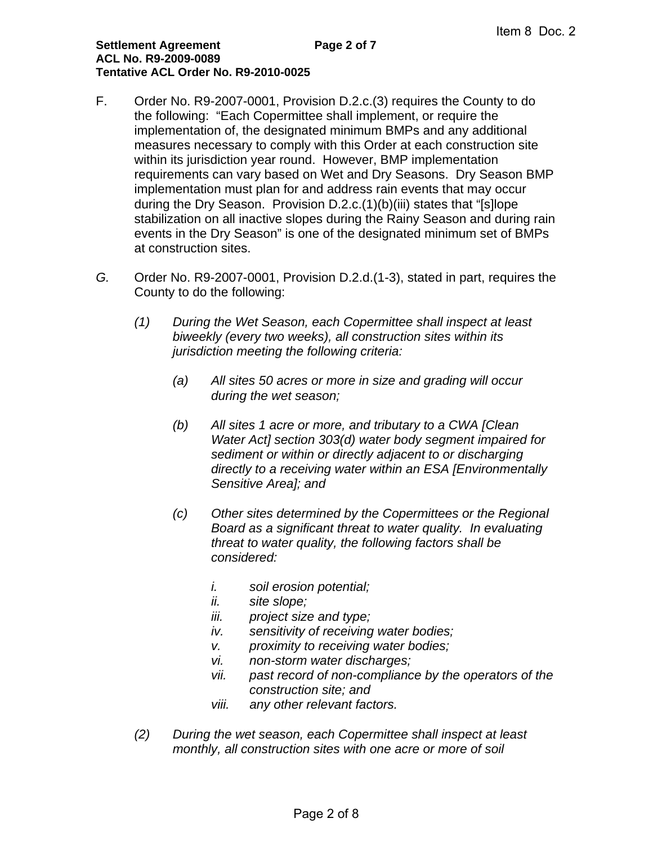- F. Order No. R9-2007-0001, Provision D.2.c.(3) requires the County to do the following: "Each Copermittee shall implement, or require the implementation of, the designated minimum BMPs and any additional measures necessary to comply with this Order at each construction site within its jurisdiction year round. However, BMP implementation requirements can vary based on Wet and Dry Seasons. Dry Season BMP implementation must plan for and address rain events that may occur during the Dry Season. Provision D.2.c.(1)(b)(iii) states that "[s]lope stabilization on all inactive slopes during the Rainy Season and during rain events in the Dry Season" is one of the designated minimum set of BMPs at construction sites.
- *G.* Order No. R9-2007-0001, Provision D.2.d.(1-3), stated in part, requires the County to do the following:
	- *(1) During the Wet Season, each Copermittee shall inspect at least biweekly (every two weeks), all construction sites within its jurisdiction meeting the following criteria:* 
		- *(a) All sites 50 acres or more in size and grading will occur during the wet season;*
		- *(b) All sites 1 acre or more, and tributary to a CWA [Clean Water Act] section 303(d) water body segment impaired for sediment or within or directly adjacent to or discharging directly to a receiving water within an ESA [Environmentally Sensitive Area]; and*
		- *(c) Other sites determined by the Copermittees or the Regional Board as a significant threat to water quality. In evaluating threat to water quality, the following factors shall be considered:* 
			- *i. soil erosion potential;*
			- *ii. site slope;*
			- *iii. project size and type;*
			- *iv. sensitivity of receiving water bodies;*
			- *v. proximity to receiving water bodies;*
			- *vi. non-storm water discharges;*
			- *vii. past record of non-compliance by the operators of the construction site; and*
			- *viii. any other relevant factors.*
	- *(2) During the wet season, each Copermittee shall inspect at least monthly, all construction sites with one acre or more of soil*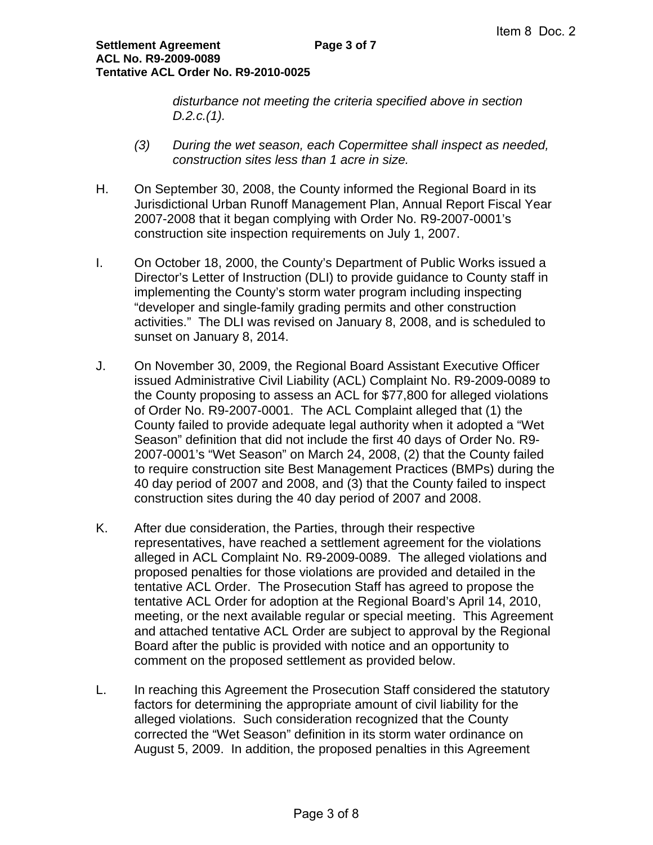*disturbance not meeting the criteria specified above in section D.2.c.(1).* 

- *(3) During the wet season, each Copermittee shall inspect as needed, construction sites less than 1 acre in size.*
- H. On September 30, 2008, the County informed the Regional Board in its Jurisdictional Urban Runoff Management Plan, Annual Report Fiscal Year 2007-2008 that it began complying with Order No. R9-2007-0001's construction site inspection requirements on July 1, 2007.
- I. On October 18, 2000, the County's Department of Public Works issued a Director's Letter of Instruction (DLI) to provide guidance to County staff in implementing the County's storm water program including inspecting "developer and single-family grading permits and other construction activities." The DLI was revised on January 8, 2008, and is scheduled to sunset on January 8, 2014.
- J. On November 30, 2009, the Regional Board Assistant Executive Officer issued Administrative Civil Liability (ACL) Complaint No. R9-2009-0089 to the County proposing to assess an ACL for \$77,800 for alleged violations of Order No. R9-2007-0001. The ACL Complaint alleged that (1) the County failed to provide adequate legal authority when it adopted a "Wet Season" definition that did not include the first 40 days of Order No. R9- 2007-0001's "Wet Season" on March 24, 2008, (2) that the County failed to require construction site Best Management Practices (BMPs) during the 40 day period of 2007 and 2008, and (3) that the County failed to inspect construction sites during the 40 day period of 2007 and 2008.
- K. After due consideration, the Parties, through their respective representatives, have reached a settlement agreement for the violations alleged in ACL Complaint No. R9-2009-0089. The alleged violations and proposed penalties for those violations are provided and detailed in the tentative ACL Order. The Prosecution Staff has agreed to propose the tentative ACL Order for adoption at the Regional Board's April 14, 2010, meeting, or the next available regular or special meeting. This Agreement and attached tentative ACL Order are subject to approval by the Regional Board after the public is provided with notice and an opportunity to comment on the proposed settlement as provided below.
- L. In reaching this Agreement the Prosecution Staff considered the statutory factors for determining the appropriate amount of civil liability for the alleged violations. Such consideration recognized that the County corrected the "Wet Season" definition in its storm water ordinance on August 5, 2009. In addition, the proposed penalties in this Agreement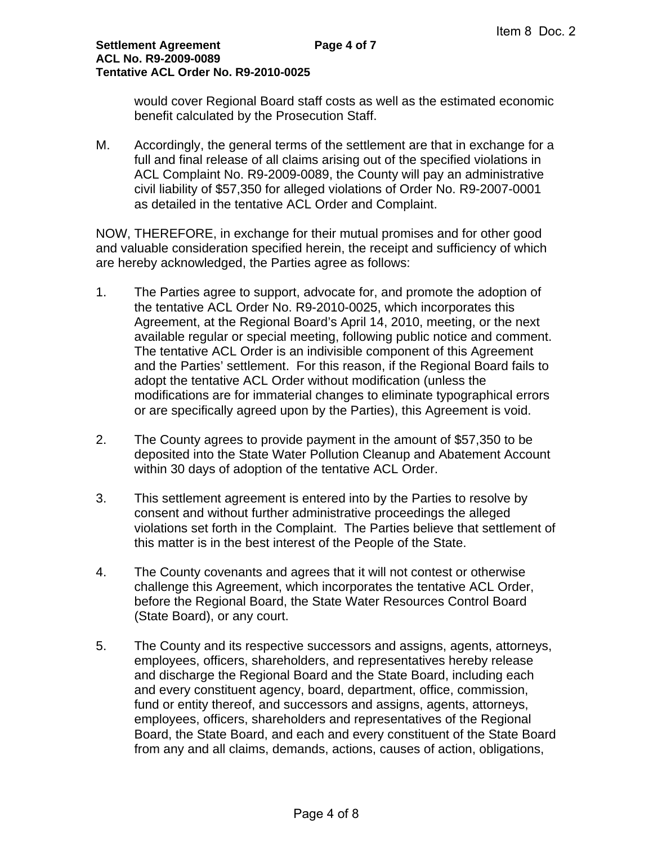would cover Regional Board staff costs as well as the estimated economic benefit calculated by the Prosecution Staff.

M. Accordingly, the general terms of the settlement are that in exchange for a full and final release of all claims arising out of the specified violations in ACL Complaint No. R9-2009-0089, the County will pay an administrative civil liability of \$57,350 for alleged violations of Order No. R9-2007-0001 as detailed in the tentative ACL Order and Complaint.

NOW, THEREFORE, in exchange for their mutual promises and for other good and valuable consideration specified herein, the receipt and sufficiency of which are hereby acknowledged, the Parties agree as follows:

- 1. The Parties agree to support, advocate for, and promote the adoption of the tentative ACL Order No. R9-2010-0025, which incorporates this Agreement, at the Regional Board's April 14, 2010, meeting, or the next available regular or special meeting, following public notice and comment. The tentative ACL Order is an indivisible component of this Agreement and the Parties' settlement. For this reason, if the Regional Board fails to adopt the tentative ACL Order without modification (unless the modifications are for immaterial changes to eliminate typographical errors or are specifically agreed upon by the Parties), this Agreement is void.
- 2. The County agrees to provide payment in the amount of \$57,350 to be deposited into the State Water Pollution Cleanup and Abatement Account within 30 days of adoption of the tentative ACL Order.
- 3. This settlement agreement is entered into by the Parties to resolve by consent and without further administrative proceedings the alleged violations set forth in the Complaint. The Parties believe that settlement of this matter is in the best interest of the People of the State.
- 4. The County covenants and agrees that it will not contest or otherwise challenge this Agreement, which incorporates the tentative ACL Order, before the Regional Board, the State Water Resources Control Board (State Board), or any court.
- 5. The County and its respective successors and assigns, agents, attorneys, employees, officers, shareholders, and representatives hereby release and discharge the Regional Board and the State Board, including each and every constituent agency, board, department, office, commission, fund or entity thereof, and successors and assigns, agents, attorneys, employees, officers, shareholders and representatives of the Regional Board, the State Board, and each and every constituent of the State Board from any and all claims, demands, actions, causes of action, obligations,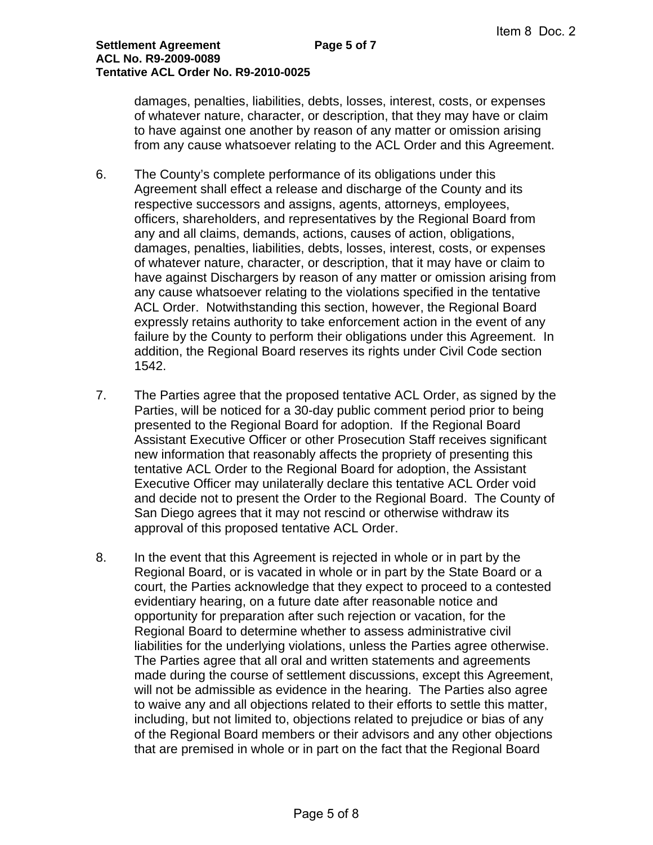damages, penalties, liabilities, debts, losses, interest, costs, or expenses of whatever nature, character, or description, that they may have or claim to have against one another by reason of any matter or omission arising from any cause whatsoever relating to the ACL Order and this Agreement.

- 6. The County's complete performance of its obligations under this Agreement shall effect a release and discharge of the County and its respective successors and assigns, agents, attorneys, employees, officers, shareholders, and representatives by the Regional Board from any and all claims, demands, actions, causes of action, obligations, damages, penalties, liabilities, debts, losses, interest, costs, or expenses of whatever nature, character, or description, that it may have or claim to have against Dischargers by reason of any matter or omission arising from any cause whatsoever relating to the violations specified in the tentative ACL Order. Notwithstanding this section, however, the Regional Board expressly retains authority to take enforcement action in the event of any failure by the County to perform their obligations under this Agreement. In addition, the Regional Board reserves its rights under Civil Code section 1542.
- 7. The Parties agree that the proposed tentative ACL Order, as signed by the Parties, will be noticed for a 30-day public comment period prior to being presented to the Regional Board for adoption. If the Regional Board Assistant Executive Officer or other Prosecution Staff receives significant new information that reasonably affects the propriety of presenting this tentative ACL Order to the Regional Board for adoption, the Assistant Executive Officer may unilaterally declare this tentative ACL Order void and decide not to present the Order to the Regional Board. The County of San Diego agrees that it may not rescind or otherwise withdraw its approval of this proposed tentative ACL Order.
- 8. In the event that this Agreement is rejected in whole or in part by the Regional Board, or is vacated in whole or in part by the State Board or a court, the Parties acknowledge that they expect to proceed to a contested evidentiary hearing, on a future date after reasonable notice and opportunity for preparation after such rejection or vacation, for the Regional Board to determine whether to assess administrative civil liabilities for the underlying violations, unless the Parties agree otherwise. The Parties agree that all oral and written statements and agreements made during the course of settlement discussions, except this Agreement, will not be admissible as evidence in the hearing. The Parties also agree to waive any and all objections related to their efforts to settle this matter, including, but not limited to, objections related to prejudice or bias of any of the Regional Board members or their advisors and any other objections that are premised in whole or in part on the fact that the Regional Board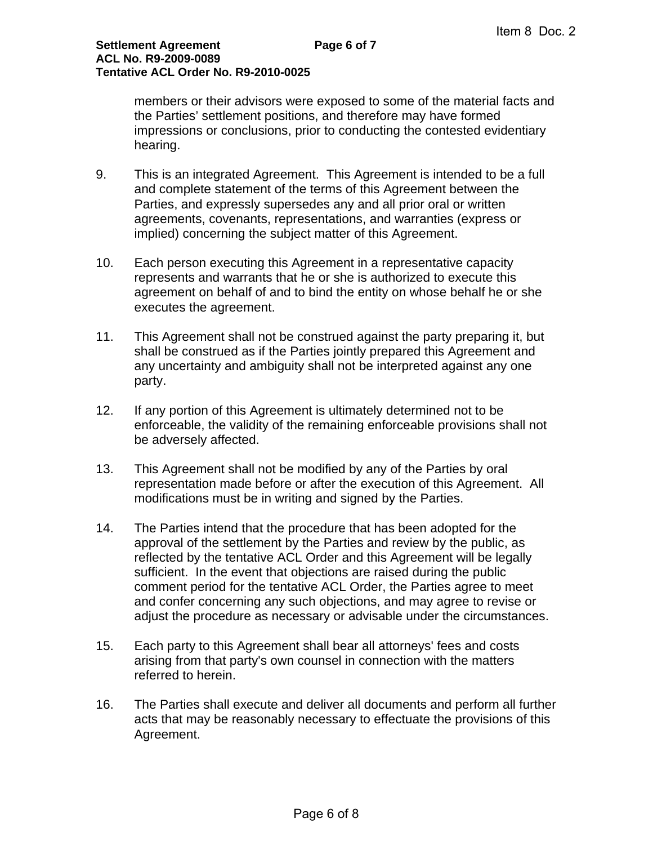members or their advisors were exposed to some of the material facts and the Parties' settlement positions, and therefore may have formed impressions or conclusions, prior to conducting the contested evidentiary hearing.

- 9. This is an integrated Agreement. This Agreement is intended to be a full and complete statement of the terms of this Agreement between the Parties, and expressly supersedes any and all prior oral or written agreements, covenants, representations, and warranties (express or implied) concerning the subject matter of this Agreement.
- 10. Each person executing this Agreement in a representative capacity represents and warrants that he or she is authorized to execute this agreement on behalf of and to bind the entity on whose behalf he or she executes the agreement.
- 11. This Agreement shall not be construed against the party preparing it, but shall be construed as if the Parties jointly prepared this Agreement and any uncertainty and ambiguity shall not be interpreted against any one party.
- 12. If any portion of this Agreement is ultimately determined not to be enforceable, the validity of the remaining enforceable provisions shall not be adversely affected.
- 13. This Agreement shall not be modified by any of the Parties by oral representation made before or after the execution of this Agreement. All modifications must be in writing and signed by the Parties.
- 14. The Parties intend that the procedure that has been adopted for the approval of the settlement by the Parties and review by the public, as reflected by the tentative ACL Order and this Agreement will be legally sufficient. In the event that objections are raised during the public comment period for the tentative ACL Order, the Parties agree to meet and confer concerning any such objections, and may agree to revise or adjust the procedure as necessary or advisable under the circumstances.
- 15. Each party to this Agreement shall bear all attorneys' fees and costs arising from that party's own counsel in connection with the matters referred to herein.
- 16. The Parties shall execute and deliver all documents and perform all further acts that may be reasonably necessary to effectuate the provisions of this Agreement.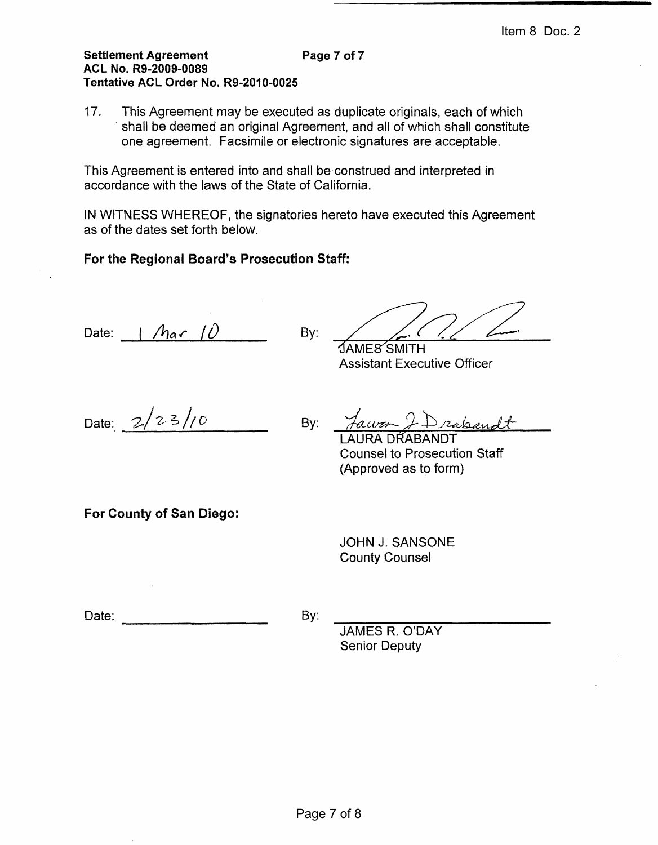### Settlement Agreement **Page 7 of 7** ACL No. R9-2009-0089 Tentative ACL Order No. R9-2010-0025

17. This Agreement may be executed as duplicate originals, each of which shall be deemed an original Agreement, and all of which shall constitute one agreement. Facsimile or electronic signatures are acceptable.

This Agreement is entered into and shall be construed and interpreted in accordance with the laws of the State of California.

IN WITNESS WHEREOF, the signatories hereto have executed this Agreement as of the dates set forth below.

# For the Regional Board's Prosecution Staff:

Date:  $\int$  *har*  $\int$   $\hat{U}$  By:

 $\sf 3AMES$ SMITH

Assistant Executive Officer

Date:  $2/23/10$  By:

- Drabandt

**Counsel to Prosecution Staff** (Approved as to form)

For County of San Diego:

JOHN J. SANSONE **County Counsel** 

Date: By: -----------------

**JAMES R. O'DAY** Senior Deputy